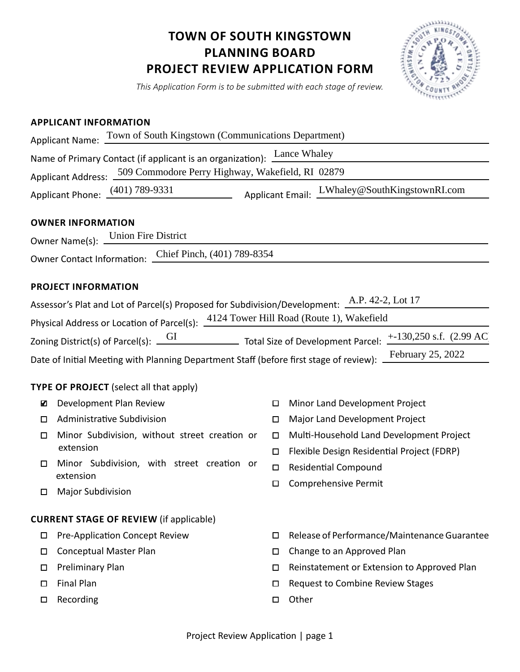## **TOWN OF SOUTH KINGSTOWN PLANNING BOARD PROJECT REVIEW APPLICATION FORM**



*This Application Form is to be submitted with each stage of review.*

## **APPLICANT INFORMATION**

|                                                                                                                                                                                                                                                                                                                                                                                                                            |                                       | Applicant Name: Town of South Kingstown (Communications Department) |  |                  |                                                                                        |
|----------------------------------------------------------------------------------------------------------------------------------------------------------------------------------------------------------------------------------------------------------------------------------------------------------------------------------------------------------------------------------------------------------------------------|---------------------------------------|---------------------------------------------------------------------|--|------------------|----------------------------------------------------------------------------------------|
| Name of Primary Contact (if applicant is an organization): Lance Whaley                                                                                                                                                                                                                                                                                                                                                    |                                       |                                                                     |  |                  |                                                                                        |
| Applicant Address: 509 Commodore Perry Highway, Wakefield, RI 02879                                                                                                                                                                                                                                                                                                                                                        |                                       |                                                                     |  |                  |                                                                                        |
|                                                                                                                                                                                                                                                                                                                                                                                                                            |                                       |                                                                     |  |                  | Applicant Phone: (401) 789-9331 Applicant Email: LWhaley@SouthKingstownRI.com          |
| <b>OWNER INFORMATION</b><br>Owner Name(s): Union Fire District                                                                                                                                                                                                                                                                                                                                                             |                                       |                                                                     |  |                  |                                                                                        |
| Owner Contact Information: Chief Pinch, (401) 789-8354                                                                                                                                                                                                                                                                                                                                                                     |                                       |                                                                     |  |                  |                                                                                        |
| <b>PROJECT INFORMATION</b>                                                                                                                                                                                                                                                                                                                                                                                                 |                                       |                                                                     |  |                  |                                                                                        |
| Assessor's Plat and Lot of Parcel(s) Proposed for Subdivision/Development: A.P. 42-2, Lot 17<br>Physical Address or Location of Parcel(s): 4124 Tower Hill Road (Route 1), Wakefield<br>Zoning District(s) of Parcel(s): $\underbrace{GI}$ Total Size of Development Parcel: $\pm$ -130,250 s.f. (2.99 AC<br>February 25, 2022<br>Date of Initial Meeting with Planning Department Staff (before first stage of review): _ |                                       |                                                                     |  |                  |                                                                                        |
| <b>TYPE OF PROJECT</b> (select all that apply)                                                                                                                                                                                                                                                                                                                                                                             |                                       |                                                                     |  |                  |                                                                                        |
| ☑                                                                                                                                                                                                                                                                                                                                                                                                                          |                                       | Development Plan Review                                             |  | □                | Minor Land Development Project                                                         |
| □                                                                                                                                                                                                                                                                                                                                                                                                                          |                                       | Administrative Subdivision                                          |  | $\Box$           | Major Land Development Project                                                         |
| □                                                                                                                                                                                                                                                                                                                                                                                                                          | extension                             | Minor Subdivision, without street creation or                       |  | $\Box$<br>$\Box$ | Multi-Household Land Development Project<br>Flexible Design Residential Project (FDRP) |
| □<br>□                                                                                                                                                                                                                                                                                                                                                                                                                     | extension<br><b>Major Subdivision</b> | Minor Subdivision, with street creation or                          |  | $\Box$<br>$\Box$ | <b>Residential Compound</b><br><b>Comprehensive Permit</b>                             |
| <b>CURRENT STAGE OF REVIEW (if applicable)</b>                                                                                                                                                                                                                                                                                                                                                                             |                                       |                                                                     |  |                  |                                                                                        |
| $\Box$                                                                                                                                                                                                                                                                                                                                                                                                                     |                                       | <b>Pre-Application Concept Review</b>                               |  | □                | Release of Performance/Maintenance Guarantee                                           |
| □                                                                                                                                                                                                                                                                                                                                                                                                                          |                                       | <b>Conceptual Master Plan</b>                                       |  | □                | Change to an Approved Plan                                                             |
| □                                                                                                                                                                                                                                                                                                                                                                                                                          | Preliminary Plan                      |                                                                     |  | □                | Reinstatement or Extension to Approved Plan                                            |
| $\Box$<br>□                                                                                                                                                                                                                                                                                                                                                                                                                | <b>Final Plan</b><br>Recording        |                                                                     |  | □<br>□           | Request to Combine Review Stages<br>Other                                              |